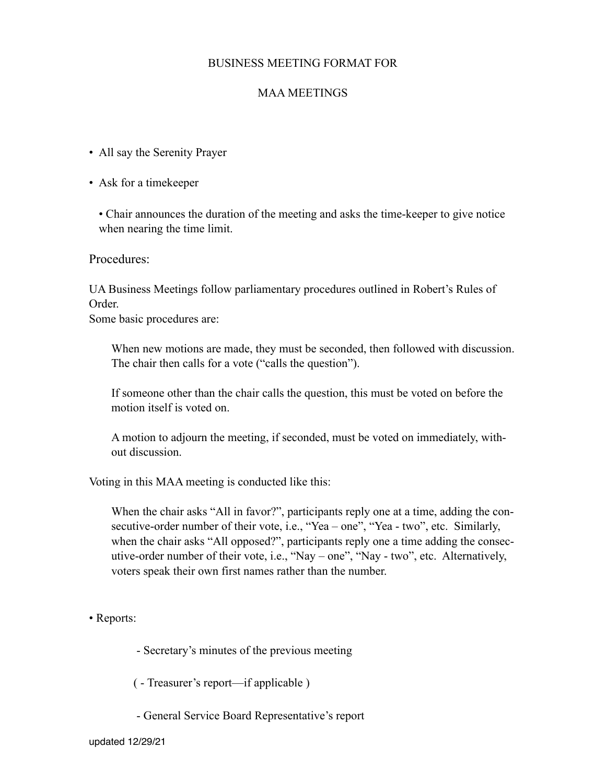## BUSINESS MEETING FORMAT FOR

## MAA MEETINGS

- All say the Serenity Prayer
- Ask for a timekeeper

• Chair announces the duration of the meeting and asks the time-keeper to give notice when nearing the time limit.

Procedures:

UA Business Meetings follow parliamentary procedures outlined in Robert's Rules of Order.

Some basic procedures are:

When new motions are made, they must be seconded, then followed with discussion. The chair then calls for a vote ("calls the question").

 If someone other than the chair calls the question, this must be voted on before the motion itself is voted on.

 A motion to adjourn the meeting, if seconded, must be voted on immediately, without discussion.

Voting in this MAA meeting is conducted like this:

 When the chair asks "All in favor?", participants reply one at a time, adding the consecutive-order number of their vote, i.e., "Yea – one", "Yea - two", etc. Similarly, when the chair asks "All opposed?", participants reply one a time adding the consecutive-order number of their vote, i.e., "Nay – one", "Nay - two", etc. Alternatively, voters speak their own first names rather than the number.

• Reports:

- Secretary's minutes of the previous meeting

( - Treasurer's report—if applicable )

- General Service Board Representative's report